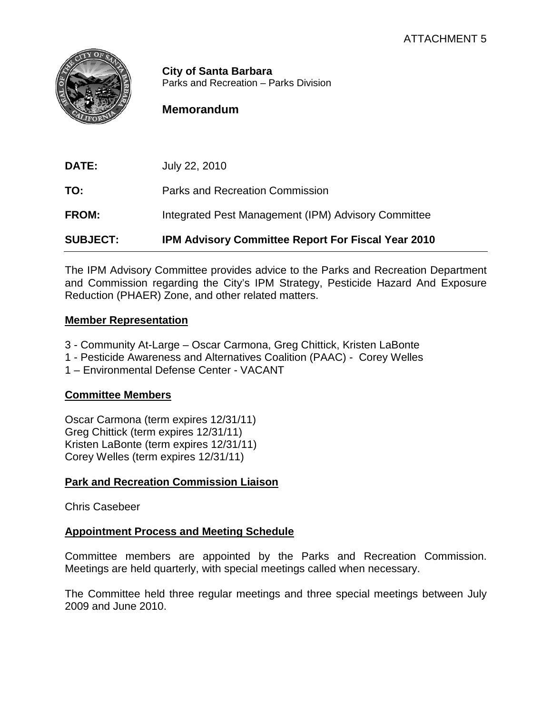

**City of Santa Barbara** Parks and Recreation – Parks Division

# **Memorandum**

**DATE:** July 22, 2010 **TO:** Parks and Recreation Commission **FROM:** Integrated Pest Management (IPM) Advisory Committee **SUBJECT: IPM Advisory Committee Report For Fiscal Year 2010**

The IPM Advisory Committee provides advice to the Parks and Recreation Department and Commission regarding the City's IPM Strategy, Pesticide Hazard And Exposure Reduction (PHAER) Zone, and other related matters.

#### **Member Representation**

- 3 Community At-Large Oscar Carmona, Greg Chittick, Kristen LaBonte
- 1 Pesticide Awareness and Alternatives Coalition (PAAC) Corey Welles
- 1 Environmental Defense Center VACANT

#### **Committee Members**

Oscar Carmona (term expires 12/31/11) Greg Chittick (term expires 12/31/11) Kristen LaBonte (term expires 12/31/11) Corey Welles (term expires 12/31/11)

## **Park and Recreation Commission Liaison**

Chris Casebeer

## **Appointment Process and Meeting Schedule**

Committee members are appointed by the Parks and Recreation Commission. Meetings are held quarterly, with special meetings called when necessary.

The Committee held three regular meetings and three special meetings between July 2009 and June 2010.